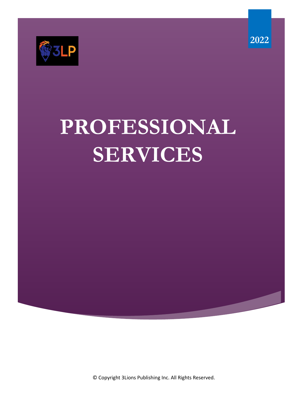

# **PROFESSIONAL SERVICES**

© Copyright 3Lions Publishing Inc. All Rights Reserved.

**2022**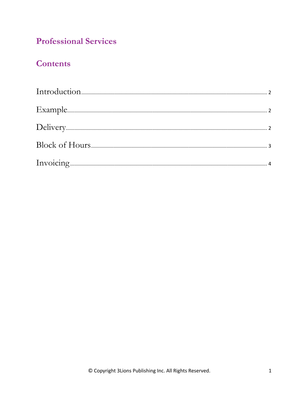## **Professional Services**

### **Contents**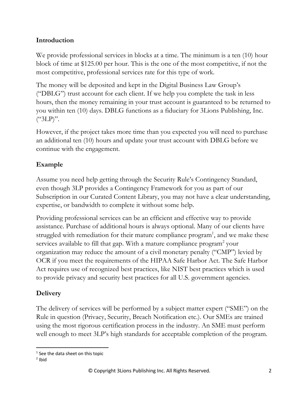#### **Introduction**

We provide professional services in blocks at a time. The minimum is a ten (10) hour block of time at \$125.00 per hour. This is the one of the most competitive, if not the most competitive, professional services rate for this type of work.

The money will be deposited and kept in the Digital Business Law Group's ("DBLG") trust account for each client. If we help you complete the task in less hours, then the money remaining in your trust account is guaranteed to be returned to you within ten (10) days. DBLG functions as a fiduciary for 3Lions Publishing, Inc. ("3LP)".

However, if the project takes more time than you expected you will need to purchase an additional ten (10) hours and update your trust account with DBLG before we continue with the engagement.

#### **Example**

Assume you need help getting through the Security Rule's Contingency Standard, even though 3LP provides a Contingency Framework for you as part of our Subscription in our Curated Content Library, you may not have a clear understanding, expertise, or bandwidth to complete it without some help.

Providing professional services can be an efficient and effective way to provide assistance. Purchase of additional hours is always optional. Many of our clients have struggled with remediation for their mature compliance program<sup>1</sup>, and we make these services available to fill that gap. With a mature compliance program<sup>2</sup> your organization may reduce the amount of a civil monetary penalty ("CMP") levied by OCR if you meet the requirements of the HIPAA Safe Harbor Act. The Safe Harbor Act requires use of recognized best practices, like NIST best practices which is used to provide privacy and security best practices for all U.S. government agencies.

#### **Delivery**

The delivery of services will be performed by a subject matter expert ("SME") on the Rule in question (Privacy, Security, Breach Notification etc.). Our SMEs are trained using the most rigorous certification process in the industry. An SME must perform well enough to meet 3LP's high standards for acceptable completion of the program.

<sup>&</sup>lt;sup>1</sup> See the data sheet on this topic

 $<sup>2</sup>$  Ibid</sup>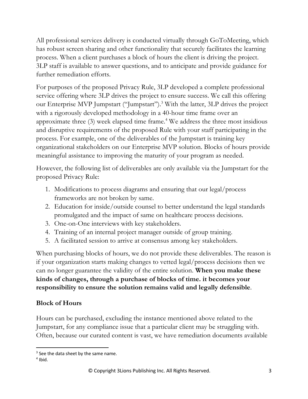All professional services delivery is conducted virtually through GoToMeeting, which has robust screen sharing and other functionality that securely facilitates the learning process. When a client purchases a block of hours the client is driving the project. 3LP staff is available to answer questions, and to anticipate and provide guidance for further remediation efforts.

For purposes of the proposed Privacy Rule, 3LP developed a complete professional service offering where 3LP drives the project to ensure success. We call this offering our Enterprise MVP Jumpstart ("Jumpstart").<sup>3</sup> With the latter, 3LP drives the project with a rigorously developed methodology in a 40-hour time frame over an approximate three (3) week elapsed time frame. <sup>4</sup> We address the three most insidious and disruptive requirements of the proposed Rule with your staff participating in the process. For example, one of the deliverables of the Jumpstart is training key organizational stakeholders on our Enterprise MVP solution. Blocks of hours provide meaningful assistance to improving the maturity of your program as needed.

However, the following list of deliverables are only available via the Jumpstart for the proposed Privacy Rule:

- 1. Modifications to process diagrams and ensuring that our legal/process frameworks are not broken by same.
- 2. Education for inside/outside counsel to better understand the legal standards promulgated and the impact of same on healthcare process decisions.
- 3. One-on-One interviews with key stakeholders.
- 4. Training of an internal project manager outside of group training.
- 5. A facilitated session to arrive at consensus among key stakeholders.

When purchasing blocks of hours, we do not provide these deliverables. The reason is if your organization starts making changes to vetted legal/process decisions then we can no longer guarantee the validity of the entire solution. **When you make these kinds of changes, through a purchase of blocks of time. it becomes your responsibility to ensure the solution remains valid and legally defensible**.

#### **Block of Hours**

Hours can be purchased, excluding the instance mentioned above related to the Jumpstart, for any compliance issue that a particular client may be struggling with. Often, because our curated content is vast, we have remediation documents available

 $3$  See the data sheet by the same name.

 $4$  Ibid.